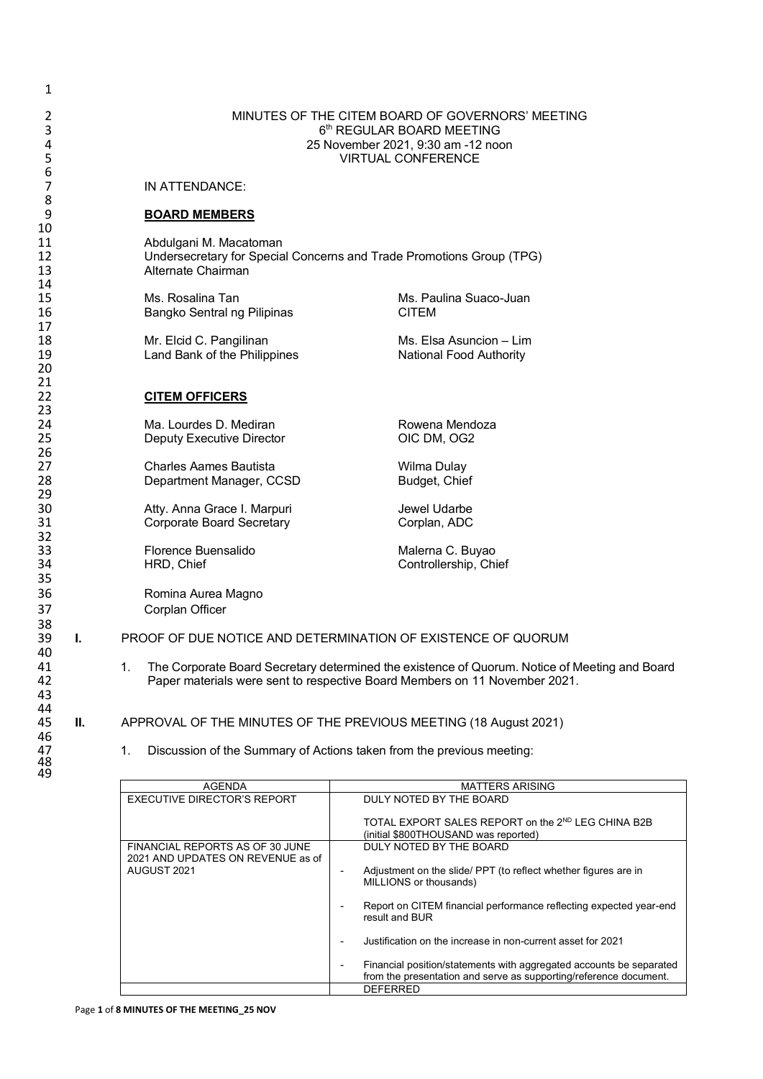| 1                    |    |                                                                                                                                                                                   |                                                                       |  |  |  |
|----------------------|----|-----------------------------------------------------------------------------------------------------------------------------------------------------------------------------------|-----------------------------------------------------------------------|--|--|--|
| 2<br>3<br>4<br>5     |    | MINUTES OF THE CITEM BOARD OF GOVERNORS' MEETING<br>6th REGULAR BOARD MEETING<br>25 November 2021, 9:30 am -12 noon<br><b>VIRTUAL CONFERENCE</b>                                  |                                                                       |  |  |  |
| 6<br>7               |    | IN ATTENDANCE:                                                                                                                                                                    |                                                                       |  |  |  |
| 8<br>9               |    | <b>BOARD MEMBERS</b>                                                                                                                                                              |                                                                       |  |  |  |
| 10<br>11<br>12<br>13 |    | Abdulgani M. Macatoman<br>Alternate Chairman                                                                                                                                      | Undersecretary for Special Concerns and Trade Promotions Group (TPG)  |  |  |  |
| 14<br>15<br>16       |    | Ms. Rosalina Tan<br>Bangko Sentral ng Pilipinas                                                                                                                                   | Ms. Paulina Suaco-Juan<br><b>CITEM</b>                                |  |  |  |
| 17<br>18<br>19<br>20 |    | Mr. Elcid C. Pangilinan<br>Land Bank of the Philippines                                                                                                                           | Ms. Elsa Asuncion - Lim<br><b>National Food Authority</b>             |  |  |  |
| 21<br>22<br>23       |    | <b>CITEM OFFICERS</b>                                                                                                                                                             |                                                                       |  |  |  |
| 24<br>25<br>26       |    | Ma. Lourdes D. Mediran<br><b>Deputy Executive Director</b>                                                                                                                        | Rowena Mendoza<br>OIC DM, OG2                                         |  |  |  |
| 27<br>28<br>29       |    | <b>Charles Aames Bautista</b><br>Department Manager, CCSD                                                                                                                         | Wilma Dulay<br>Budget, Chief                                          |  |  |  |
| 30<br>31<br>32       |    | Atty. Anna Grace I. Marpuri<br><b>Corporate Board Secretary</b>                                                                                                                   | Jewel Udarbe<br>Corplan, ADC                                          |  |  |  |
| 33<br>34<br>35       |    | Florence Buensalido<br>HRD, Chief                                                                                                                                                 | Malerna C. Buyao<br>Controllership, Chief                             |  |  |  |
| 36<br>37             |    | Romina Aurea Magno<br>Corplan Officer                                                                                                                                             |                                                                       |  |  |  |
| 38<br>39<br>40       | L. |                                                                                                                                                                                   | PROOF OF DUE NOTICE AND DETERMINATION OF EXISTENCE OF QUORUM          |  |  |  |
| 41<br>42<br>43       |    | 1.<br>The Corporate Board Secretary determined the existence of Quorum. Notice of Meeting and Board<br>Paper materials were sent to respective Board Members on 11 November 2021. |                                                                       |  |  |  |
| 44<br>45             | Ш. |                                                                                                                                                                                   | APPROVAL OF THE MINUTES OF THE PREVIOUS MEETING (18 August 2021)      |  |  |  |
| 46<br>47<br>48<br>49 |    | 1.                                                                                                                                                                                | Discussion of the Summary of Actions taken from the previous meeting: |  |  |  |

AGENDA MATTERS ARISING<br>RECTOR'S REPORT DULY NOTED BY THE BOARD EXECUTIVE DIRECTOR'S REPORT TOTAL EXPORT SALES REPORT on the 2<sup>ND</sup> LEG CHINA B2B (initial \$800THOUSAND was reported) FINANCIAL REPORTS AS OF 30 JUNE 2021 AND UPDATES ON REVENUE as of AUGUST 2021 DULY NOTED BY THE BOARD - Adjustment on the slide/ PPT (to reflect whether figures are in MILLIONS or thousands) - Report on CITEM financial performance reflecting expected year-end result and BUR - Justification on the increase in non-current asset for 2021 - Financial position/statements with aggregated accounts be separated from the presentation and serve as supporting/reference document. DEFERRED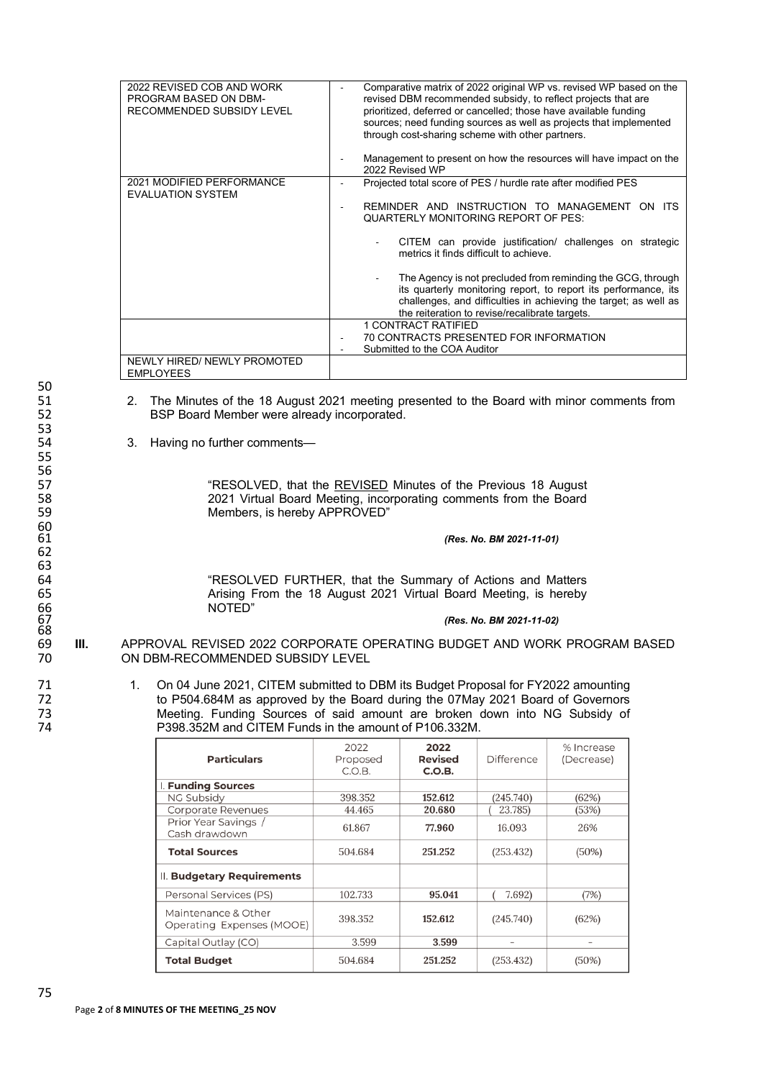| 2022 REVISED COB AND WORK<br>PROGRAM BASED ON DBM-<br>RECOMMENDED SUBSIDY LEVEL | Comparative matrix of 2022 original WP vs. revised WP based on the<br>revised DBM recommended subsidy, to reflect projects that are<br>prioritized, deferred or cancelled; those have available funding<br>sources; need funding sources as well as projects that implemented<br>through cost-sharing scheme with other partners.<br>Management to present on how the resources will have impact on the<br>2022 Revised WP                                                                                          |
|---------------------------------------------------------------------------------|---------------------------------------------------------------------------------------------------------------------------------------------------------------------------------------------------------------------------------------------------------------------------------------------------------------------------------------------------------------------------------------------------------------------------------------------------------------------------------------------------------------------|
| 2021 MODIFIED PERFORMANCE<br><b>EVALUATION SYSTEM</b>                           | Projected total score of PES / hurdle rate after modified PES<br>REMINDER AND INSTRUCTION TO MANAGEMENT ON ITS<br>QUARTERLY MONITORING REPORT OF PES:<br>CITEM can provide justification/ challenges on strategic<br>metrics it finds difficult to achieve.<br>The Agency is not precluded from reminding the GCG, through<br>its quarterly monitoring report, to report its performance, its<br>challenges, and difficulties in achieving the target; as well as<br>the reiteration to revise/recalibrate targets. |
|                                                                                 | <b>1 CONTRACT RATIFIED</b><br>70 CONTRACTS PRESENTED FOR INFORMATION<br>Submitted to the COA Auditor                                                                                                                                                                                                                                                                                                                                                                                                                |
| NEWLY HIRED/ NEWLY PROMOTED<br><b>EMPLOYEES</b>                                 |                                                                                                                                                                                                                                                                                                                                                                                                                                                                                                                     |

- 51 2. The Minutes of the 18 August 2021 meeting presented to the Board with minor comments from<br>52 BSP Board Member were already incorporated. BSP Board Member were already incorporated.
	- 3. Having no further comments-

57 The SOLVED, that the **REVISED** Minutes of the Previous 18 August 158 58 2021 Virtual Board Meeting, incorporating comments from the Board<br>
Members, is hereby APPROVED" Members, is hereby APPROVED"

61 *(Res. No. BM 2021-11-01)* 

64 **"RESOLVED FURTHER, that the Summary of Actions and Matters**<br>65 **Arising From the 18 August 2021 Virtual Board Meeting, is hereby** Arising From the 18 August 2021 Virtual Board Meeting, is hereby NOTED"

67 *(Res. No. BM 2021-11-02)* 

- 69 **III.** APPROVAL REVISED 2022 CORPORATE OPERATING BUDGET AND WORK PROGRAM BASED ON DBM-RECOMMENDED SUBSIDY LEVEL
- 71 1. On 04 June 2021, CITEM submitted to DBM its Budget Proposal for FY2022 amounting<br>72 to P504.684M as approved by the Board during the 07May 2021 Board of Governors 72 to P504.684M as approved by the Board during the 07May 2021 Board of Governors 73 Meeting. Funding Sources of said amount are broken down into NG Subsidy of 74 Meeting. The P398.352M and CITEM Funds in the amount of P106.332M. P398.352M and CITEM Funds in the amount of P106.332M.

| <b>Particulars</b>                               | 2022<br>Proposed<br>C.O.B. | 2022<br><b>Revised</b><br>C.O.B. | <b>Difference</b>        | % Increase<br>(Decrease) |
|--------------------------------------------------|----------------------------|----------------------------------|--------------------------|--------------------------|
| I. Funding Sources                               |                            |                                  |                          |                          |
| <b>NG Subsidy</b>                                | 398.352                    | 152.612                          | (245.740)                | (62%)                    |
| Corporate Revenues                               | 44.465                     | 20.680                           | 23.785)                  | (53%)                    |
| Prior Year Savings /<br>Cash drawdown            | 61.867                     | 77.960                           | 16.093                   | 26%                      |
| <b>Total Sources</b>                             | 504.684                    | 251.252                          | (253.432)                | (50%)                    |
| II. Budgetary Requirements                       |                            |                                  |                          |                          |
| Personal Services (PS)                           | 102.733                    | 95.041                           | 7.692)                   | (7%)                     |
| Maintenance & Other<br>Operating Expenses (MOOE) | 398.352                    | 152.612                          | (245.740)                | (62%)                    |
| Capital Outlay (CO)                              | 3.599                      | 3.599                            | $\overline{\phantom{a}}$ | $\overline{\phantom{0}}$ |
| <b>Total Budget</b>                              | 504.684                    | 251.252                          | (253.432)                | $(50\%)$                 |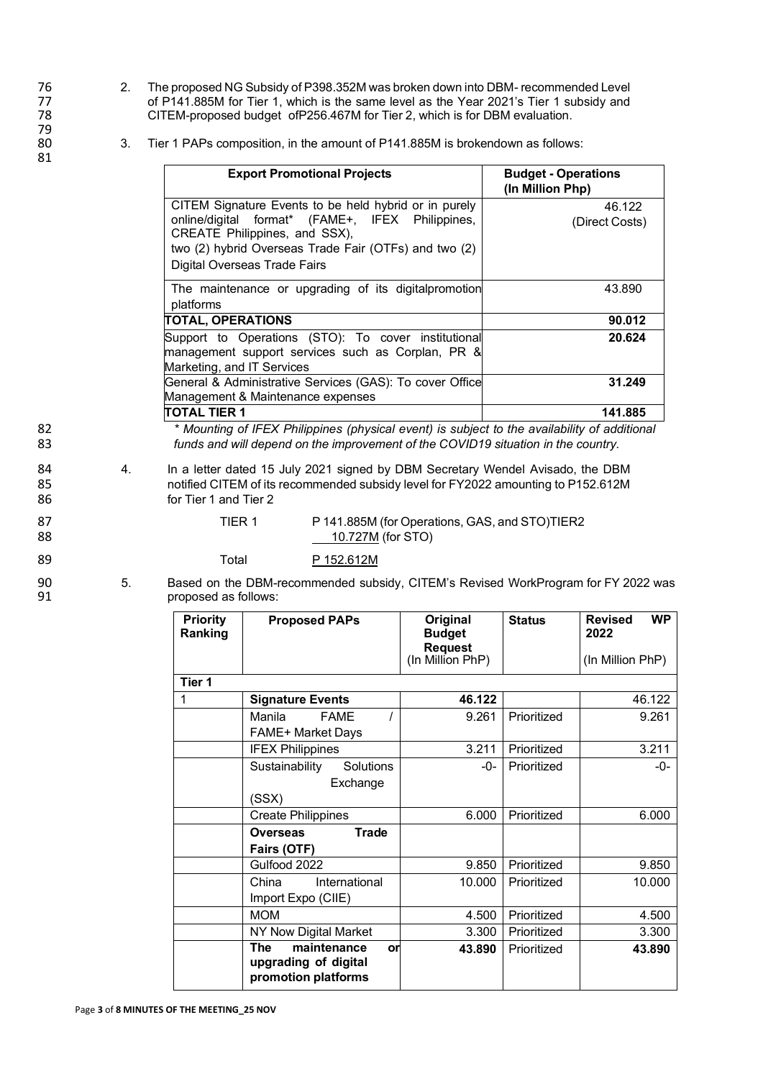- 76 2. The proposed NG Subsidy of P398.352M was broken down into DBM- recommended Level<br>77 of P141.885M for Tier 1, which is the same level as the Year 2021's Tier 1 subsidy and 77 of P141.885M for Tier 1, which is the same level as the Year 2021's Tier 1 subsidy and<br>78 CITEM-proposed budget of P256.467M for Tier 2, which is for DBM evaluation. CITEM-proposed budget ofP256.467M for Tier 2, which is for DBM evaluation.
	- 3. Tier 1 PAPs composition, in the amount of P141.885M is brokendown as follows:

| <b>Export Promotional Projects</b>                                                                                                                                                                                                         | <b>Budget - Operations</b><br>(In Million Php) |
|--------------------------------------------------------------------------------------------------------------------------------------------------------------------------------------------------------------------------------------------|------------------------------------------------|
| CITEM Signature Events to be held hybrid or in purely<br>online/digital format* (FAME+, IFEX Philippines,<br>CREATE Philippines, and SSX),<br>two (2) hybrid Overseas Trade Fair (OTFs) and two (2)<br><b>Digital Overseas Trade Fairs</b> | 46.122<br>(Direct Costs)                       |
| The maintenance or upgrading of its digital promotion<br>platforms                                                                                                                                                                         | 43.890                                         |
| <b>TOTAL, OPERATIONS</b>                                                                                                                                                                                                                   | 90.012                                         |
| Support to Operations (STO): To cover institutional<br>management support services such as Corplan, PR &<br>Marketing, and IT Services                                                                                                     | 20.624                                         |
| General & Administrative Services (GAS): To cover Office<br>Management & Maintenance expenses                                                                                                                                              | 31.249                                         |
| <b>TOTAL TIER 1</b>                                                                                                                                                                                                                        | 141.885                                        |

82 *\* Mounting of IFEX Philippines (physical event) is subject to the availability of additional* 83 *funds and will depend on the improvement of the COVID19 situation in the country.*

84 4. In a letter dated 15 July 2021 signed by DBM Secretary Wendel Avisado, the DBM<br>85 https://ecommended subsidy level for FY2022 amounting to P152.612M 85 notified CITEM of its recommended subsidy level for FY2022 amounting to P152.612M<br>86 for Tier 1 and Tier 2 for Tier 1 and Tier 2

87 TIER 1 P 141.885M (for Operations, GAS, and STO)TIER2 88 10.727M (for STO)

89 Total P 152.612M

90 5. Based on the DBM-recommended subsidy, CITEM's Revised WorkProgram for FY 2022 was<br>91 sepang proposed as follows: proposed as follows:

| <b>Priority</b><br>Ranking | <b>Proposed PAPs</b>                                                    | Original<br><b>Budget</b><br><b>Request</b><br>(In Million PhP) | <b>Status</b> | <b>WP</b><br><b>Revised</b><br>2022<br>(In Million PhP) |
|----------------------------|-------------------------------------------------------------------------|-----------------------------------------------------------------|---------------|---------------------------------------------------------|
| Tier 1                     |                                                                         |                                                                 |               |                                                         |
| 1                          | <b>Signature Events</b>                                                 | 46.122                                                          |               | 46.122                                                  |
|                            | Manila<br><b>FAME</b><br>FAME+ Market Days                              | 9.261                                                           | Prioritized   | 9.261                                                   |
|                            | <b>IFEX Philippines</b>                                                 | 3.211                                                           | Prioritized   | 3.211                                                   |
|                            | Sustainability<br>Solutions<br>Exchange<br>(SSX)                        | $-()$ -                                                         | Prioritized   | $-0-$                                                   |
|                            | <b>Create Philippines</b>                                               | 6.000                                                           | Prioritized   | 6.000                                                   |
|                            | <b>Trade</b><br><b>Overseas</b><br>Fairs (OTF)                          |                                                                 |               |                                                         |
|                            | Gulfood 2022                                                            | 9.850                                                           | Prioritized   | 9.850                                                   |
|                            | International<br>China<br>Import Expo (CIIE)                            | 10.000                                                          | Prioritized   | 10.000                                                  |
|                            | <b>MOM</b>                                                              | 4.500                                                           | Prioritized   | 4.500                                                   |
|                            | NY Now Digital Market                                                   | 3.300                                                           | Prioritized   | 3.300                                                   |
|                            | maintenance<br>The<br>or<br>upgrading of digital<br>promotion platforms | 43.890                                                          | Prioritized   | 43.890                                                  |

81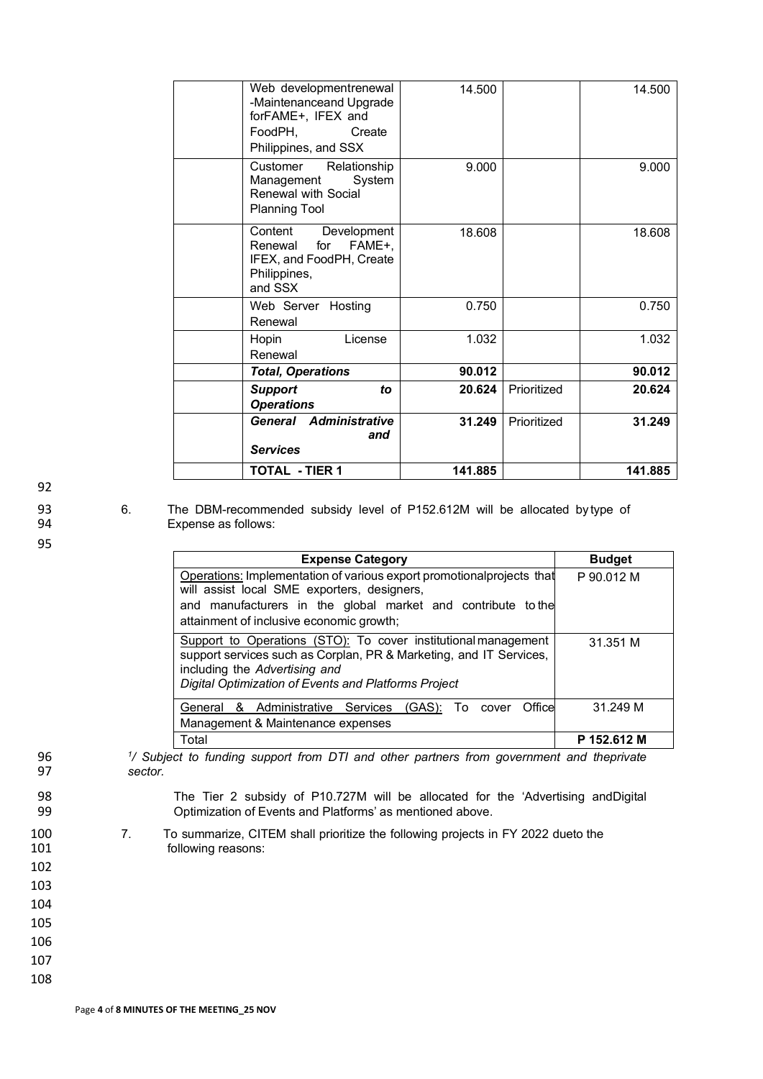|                 | Web developmentrenewal                   | 14.500  |             | 14.500  |
|-----------------|------------------------------------------|---------|-------------|---------|
|                 | -Maintenanceand Upgrade                  |         |             |         |
|                 | forFAME+, IFEX and                       |         |             |         |
| FoodPH.         | Create                                   |         |             |         |
|                 | Philippines, and SSX                     |         |             |         |
| Customer        | Relationship                             | 9.000   |             | 9.000   |
|                 | System<br>Management                     |         |             |         |
|                 | Renewal with Social                      |         |             |         |
|                 | <b>Planning Tool</b>                     |         |             |         |
| Content         | Development                              | 18.608  |             | 18.608  |
| Renewal         | for<br>FAME+,                            |         |             |         |
|                 | IFEX, and FoodPH, Create<br>Philippines, |         |             |         |
| and SSX         |                                          |         |             |         |
|                 | Web Server Hosting                       | 0.750   |             | 0.750   |
| Renewal         |                                          |         |             |         |
| Hopin           | License                                  | 1.032   |             | 1.032   |
| Renewal         |                                          |         |             |         |
|                 | <b>Total, Operations</b>                 | 90.012  |             | 90.012  |
| <b>Support</b>  | to                                       | 20.624  | Prioritized | 20.624  |
|                 | <b>Operations</b>                        |         |             |         |
|                 | General Administrative                   | 31.249  | Prioritized | 31.249  |
|                 | and                                      |         |             |         |
| <b>Services</b> |                                          |         |             |         |
|                 | <b>TOTAL - TIER 1</b>                    | 141.885 |             | 141.885 |

92

93 6. The DBM-recommended subsidy level of P152.612M will be allocated by type of 94 Expense as follows:

95

| <b>Expense Category</b>                                                | <b>Budget</b> |
|------------------------------------------------------------------------|---------------|
| Operations: Implementation of various export promotional projects that | P 90.012 M    |
| will assist local SME exporters, designers,                            |               |
| and manufacturers in the global market and contribute to the           |               |
| attainment of inclusive economic growth;                               |               |
| Support to Operations (STO): To cover institutional management         | 31.351 M      |
| support services such as Corplan, PR & Marketing, and IT Services,     |               |
| including the Advertising and                                          |               |
| Digital Optimization of Events and Platforms Project                   |               |
| General & Administrative Services (GAS):<br>Office<br>To cover         | 31.249 M      |
| Management & Maintenance expenses                                      |               |
| Total                                                                  | P 152.612 M   |

*<sup>1</sup>* 96 */ Subject to funding support from DTI and other partners from government and theprivate*  sector.

98 The Tier 2 subsidy of P10.727M will be allocated for the 'Advertising andDigital<br>99 Septimization of Events and Platforms' as mentioned above. Optimization of Events and Platforms' as mentioned above.

- 100 7. To summarize, CITEM shall prioritize the following projects in FY 2022 dueto the 101 following reasons:
- 102
- 103
- 104 105

106 107 108

Page **4** of **8 MINUTES OF THE MEETING\_25 NOV**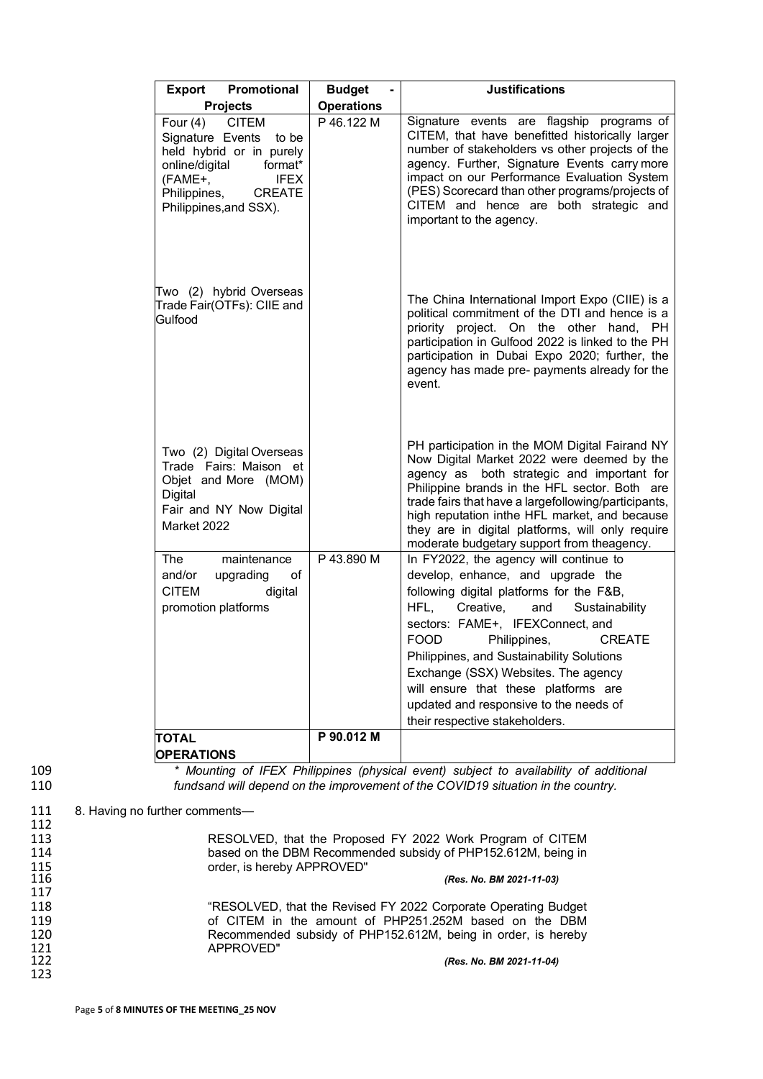| Promotional<br>Export                                                                                                                                      | <b>Budget</b>                   | <b>Justifications</b>                                                                                                                                                                                                                                                                                                                                                                                  |
|------------------------------------------------------------------------------------------------------------------------------------------------------------|---------------------------------|--------------------------------------------------------------------------------------------------------------------------------------------------------------------------------------------------------------------------------------------------------------------------------------------------------------------------------------------------------------------------------------------------------|
| <b>Projects</b><br>Four (4) CITEM                                                                                                                          | <b>Operations</b><br>P 46.122 M | Signature events are flagship programs of                                                                                                                                                                                                                                                                                                                                                              |
| Signature Events to be<br>held hybrid or in purely<br>online/digital<br>format*<br>(FAME+,<br><b>IFEX</b><br>Philippines, CREATE<br>Philippines, and SSX). |                                 | CITEM, that have benefitted historically larger<br>number of stakeholders vs other projects of the<br>agency. Further, Signature Events carry more<br>impact on our Performance Evaluation System<br>(PES) Scorecard than other programs/projects of<br>CITEM and hence are both strategic and<br>important to the agency.                                                                             |
| Two (2) hybrid Overseas<br>Trade Fair(OTFs): CIIE and<br>Gulfood                                                                                           |                                 | The China International Import Expo (CIIE) is a<br>political commitment of the DTI and hence is a<br>priority project. On the other hand, PH<br>participation in Gulfood 2022 is linked to the PH<br>participation in Dubai Expo 2020; further, the<br>agency has made pre- payments already for the<br>event.                                                                                         |
| Two (2) Digital Overseas<br>Trade Fairs: Maison et<br>Objet and More (MOM)<br>Digital<br>Fair and NY Now Digital<br>Market 2022                            |                                 | PH participation in the MOM Digital Fairand NY<br>Now Digital Market 2022 were deemed by the<br>agency as both strategic and important for<br>Philippine brands in the HFL sector. Both are<br>trade fairs that have a largefollowing/participants,<br>high reputation inthe HFL market, and because<br>they are in digital platforms, will only require<br>moderate budgetary support from theagency. |
| The<br>maintenance<br>and/or<br>upgrading<br>of                                                                                                            | P 43.890 M                      | In FY2022, the agency will continue to<br>develop, enhance, and upgrade the                                                                                                                                                                                                                                                                                                                            |
| <b>CITEM</b><br>digital<br>promotion platforms                                                                                                             |                                 | following digital platforms for the F&B,<br>HFL, Creative,<br>Sustainability                                                                                                                                                                                                                                                                                                                           |
|                                                                                                                                                            |                                 | and<br>sectors: FAME+, IFEXConnect, and                                                                                                                                                                                                                                                                                                                                                                |
|                                                                                                                                                            |                                 | <b>FOOD</b><br>Philippines,<br><b>CREATE</b><br>Philippines, and Sustainability Solutions                                                                                                                                                                                                                                                                                                              |
|                                                                                                                                                            |                                 | Exchange (SSX) Websites. The agency                                                                                                                                                                                                                                                                                                                                                                    |
|                                                                                                                                                            |                                 | will ensure that these platforms are<br>updated and responsive to the needs of                                                                                                                                                                                                                                                                                                                         |
| TOTAL                                                                                                                                                      | P 90.012 M                      | their respective stakeholders.                                                                                                                                                                                                                                                                                                                                                                         |
| <b>OPERATIONS</b>                                                                                                                                          |                                 |                                                                                                                                                                                                                                                                                                                                                                                                        |

109 *\* Mounting of IFEX Philippines (physical event) subject to availability of additional* 110 *fundsand will depend on the improvement of the COVID19 situation in the country.*

## 111 8. Having no further comments—

| 112 |                                                                |
|-----|----------------------------------------------------------------|
| 113 | RESOLVED, that the Proposed FY 2022 Work Program of CITEM      |
| 114 | based on the DBM Recommended subsidy of PHP152.612M, being in  |
| 115 | order, is hereby APPROVED"                                     |
| 116 | (Res. No. BM 2021-11-03)                                       |
| 117 |                                                                |
| 118 | "RESOLVED, that the Revised FY 2022 Corporate Operating Budget |
| 119 | of CITEM in the amount of PHP251.252M based on the DBM         |
| 120 | Recommended subsidy of PHP152.612M, being in order, is hereby  |
| 121 | APPROVED"                                                      |
| 122 | (Res. No. BM 2021-11-04)                                       |
| 123 |                                                                |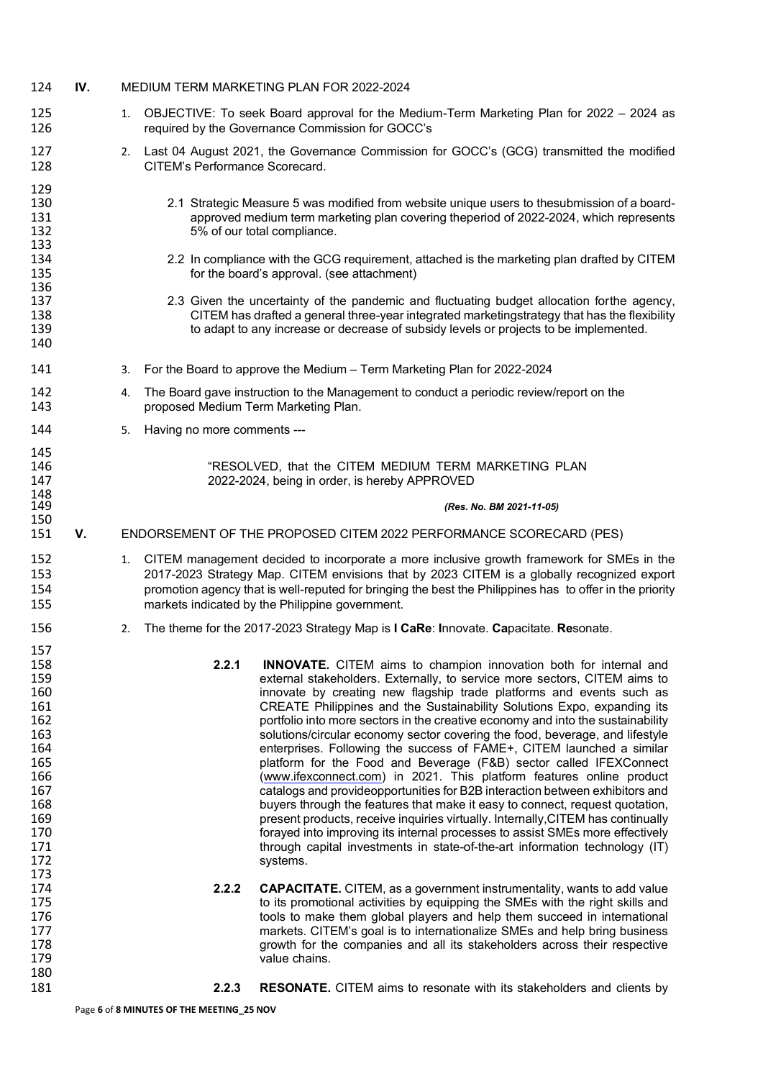| 124                                                                                                                 | IV. |    |                                      | MEDIUM TERM MARKETING PLAN FOR 2022-2024                                                                                                                                                                                                                                                                                                                                                                                                                                                                                                                                                                                                                                                                                                                                                                                                                                                                                                                                                                                                                                                                                    |
|---------------------------------------------------------------------------------------------------------------------|-----|----|--------------------------------------|-----------------------------------------------------------------------------------------------------------------------------------------------------------------------------------------------------------------------------------------------------------------------------------------------------------------------------------------------------------------------------------------------------------------------------------------------------------------------------------------------------------------------------------------------------------------------------------------------------------------------------------------------------------------------------------------------------------------------------------------------------------------------------------------------------------------------------------------------------------------------------------------------------------------------------------------------------------------------------------------------------------------------------------------------------------------------------------------------------------------------------|
| 125<br>126                                                                                                          |     | 1. |                                      | OBJECTIVE: To seek Board approval for the Medium-Term Marketing Plan for 2022 - 2024 as<br>required by the Governance Commission for GOCC's                                                                                                                                                                                                                                                                                                                                                                                                                                                                                                                                                                                                                                                                                                                                                                                                                                                                                                                                                                                 |
| 127<br>128                                                                                                          |     |    | CITEM's Performance Scorecard.       | 2. Last 04 August 2021, the Governance Commission for GOCC's (GCG) transmitted the modified                                                                                                                                                                                                                                                                                                                                                                                                                                                                                                                                                                                                                                                                                                                                                                                                                                                                                                                                                                                                                                 |
| 129<br>130<br>131<br>132<br>133                                                                                     |     |    |                                      | 2.1 Strategic Measure 5 was modified from website unique users to thesubmission of a board-<br>approved medium term marketing plan covering theperiod of 2022-2024, which represents<br>5% of our total compliance.                                                                                                                                                                                                                                                                                                                                                                                                                                                                                                                                                                                                                                                                                                                                                                                                                                                                                                         |
| 134<br>135<br>136                                                                                                   |     |    |                                      | 2.2 In compliance with the GCG requirement, attached is the marketing plan drafted by CITEM<br>for the board's approval. (see attachment)                                                                                                                                                                                                                                                                                                                                                                                                                                                                                                                                                                                                                                                                                                                                                                                                                                                                                                                                                                                   |
| 137<br>138<br>139<br>140                                                                                            |     |    |                                      | 2.3 Given the uncertainty of the pandemic and fluctuating budget allocation forthe agency,<br>CITEM has drafted a general three-year integrated marketingstrategy that has the flexibility<br>to adapt to any increase or decrease of subsidy levels or projects to be implemented.                                                                                                                                                                                                                                                                                                                                                                                                                                                                                                                                                                                                                                                                                                                                                                                                                                         |
| 141                                                                                                                 |     | 3. |                                      | For the Board to approve the Medium - Term Marketing Plan for 2022-2024                                                                                                                                                                                                                                                                                                                                                                                                                                                                                                                                                                                                                                                                                                                                                                                                                                                                                                                                                                                                                                                     |
| 142<br>143                                                                                                          |     | 4. | proposed Medium Term Marketing Plan. | The Board gave instruction to the Management to conduct a periodic review/report on the                                                                                                                                                                                                                                                                                                                                                                                                                                                                                                                                                                                                                                                                                                                                                                                                                                                                                                                                                                                                                                     |
| 144                                                                                                                 |     | 5. | Having no more comments ---          |                                                                                                                                                                                                                                                                                                                                                                                                                                                                                                                                                                                                                                                                                                                                                                                                                                                                                                                                                                                                                                                                                                                             |
| 145<br>146<br>147<br>148                                                                                            |     |    |                                      | "RESOLVED, that the CITEM MEDIUM TERM MARKETING PLAN<br>2022-2024, being in order, is hereby APPROVED                                                                                                                                                                                                                                                                                                                                                                                                                                                                                                                                                                                                                                                                                                                                                                                                                                                                                                                                                                                                                       |
| 149<br>150                                                                                                          |     |    |                                      | (Res. No. BM 2021-11-05)                                                                                                                                                                                                                                                                                                                                                                                                                                                                                                                                                                                                                                                                                                                                                                                                                                                                                                                                                                                                                                                                                                    |
| 151                                                                                                                 | V.  |    |                                      | ENDORSEMENT OF THE PROPOSED CITEM 2022 PERFORMANCE SCORECARD (PES)                                                                                                                                                                                                                                                                                                                                                                                                                                                                                                                                                                                                                                                                                                                                                                                                                                                                                                                                                                                                                                                          |
| 152<br>153<br>154<br>155                                                                                            |     |    |                                      | 1. CITEM management decided to incorporate a more inclusive growth framework for SMEs in the<br>2017-2023 Strategy Map. CITEM envisions that by 2023 CITEM is a globally recognized export<br>promotion agency that is well-reputed for bringing the best the Philippines has to offer in the priority<br>markets indicated by the Philippine government.                                                                                                                                                                                                                                                                                                                                                                                                                                                                                                                                                                                                                                                                                                                                                                   |
| 156                                                                                                                 |     | 2. |                                      | The theme for the 2017-2023 Strategy Map is I CaRe: Innovate. Capacitate. Resonate.                                                                                                                                                                                                                                                                                                                                                                                                                                                                                                                                                                                                                                                                                                                                                                                                                                                                                                                                                                                                                                         |
| 157<br>158<br>159<br>160<br>161<br>162<br>163<br>164<br>165<br>166<br>167<br>168<br>169<br>170<br>171<br>172<br>173 |     |    | 2.2.1                                | INNOVATE. CITEM aims to champion innovation both for internal and<br>external stakeholders. Externally, to service more sectors, CITEM aims to<br>innovate by creating new flagship trade platforms and events such as<br>CREATE Philippines and the Sustainability Solutions Expo, expanding its<br>portfolio into more sectors in the creative economy and into the sustainability<br>solutions/circular economy sector covering the food, beverage, and lifestyle<br>enterprises. Following the success of FAME+, CITEM launched a similar<br>platform for the Food and Beverage (F&B) sector called IFEXConnect<br>(www.ifexconnect.com) in 2021. This platform features online product<br>catalogs and provideopportunities for B2B interaction between exhibitors and<br>buyers through the features that make it easy to connect, request quotation,<br>present products, receive inquiries virtually. Internally, CITEM has continually<br>forayed into improving its internal processes to assist SMEs more effectively<br>through capital investments in state-of-the-art information technology (IT)<br>systems. |
| 174<br>175<br>176<br>177<br>178<br>179                                                                              |     |    | 2.2.2                                | <b>CAPACITATE.</b> CITEM, as a government instrumentality, wants to add value<br>to its promotional activities by equipping the SMEs with the right skills and<br>tools to make them global players and help them succeed in international<br>markets. CITEM's goal is to internationalize SMEs and help bring business<br>growth for the companies and all its stakeholders across their respective<br>value chains.                                                                                                                                                                                                                                                                                                                                                                                                                                                                                                                                                                                                                                                                                                       |
| 180<br>181                                                                                                          |     |    | 2.2.3                                | <b>RESONATE.</b> CITEM aims to resonate with its stakeholders and clients by                                                                                                                                                                                                                                                                                                                                                                                                                                                                                                                                                                                                                                                                                                                                                                                                                                                                                                                                                                                                                                                |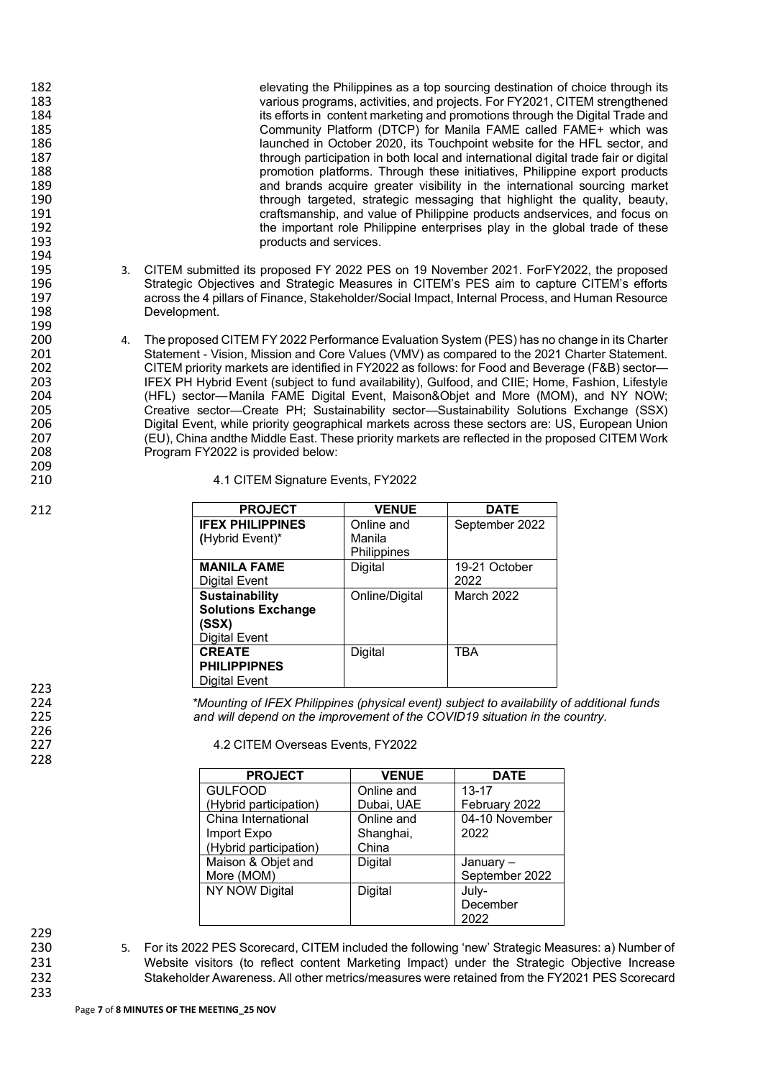| elevating the Philippines as a top sourcing destination of choice through its                    |
|--------------------------------------------------------------------------------------------------|
| various programs, activities, and projects. For FY2021, CITEM strengthened                       |
| its efforts in content marketing and promotions through the Digital Trade and                    |
| Community Platform (DTCP) for Manila FAME called FAME+ which was                                 |
| launched in October 2020, its Touchpoint website for the HFL sector, and                         |
| through participation in both local and international digital trade fair or digital              |
| promotion platforms. Through these initiatives, Philippine export products                       |
| and brands acquire greater visibility in the international sourcing market                       |
| through targeted, strategic messaging that highlight the quality, beauty,                        |
| craftsmanship, and value of Philippine products andservices, and focus on                        |
| the important role Philippine enterprises play in the global trade of these                      |
| products and services.                                                                           |
|                                                                                                  |
| 3. CITEM submitted its proposed FY 2022 PES on 19 November 2021. ForFY2022, the proposed         |
| Strategic Objectives and Strategic Measures in CITEM's PES aim to capture CITEM's efforts        |
| across the 4 pillars of Finance, Stakeholder/Social Impact, Internal Process, and Human Resource |
| Development.                                                                                     |
|                                                                                                  |
| 4. The proposed CITEM FY 2022 Performance Evaluation System (PES) has no change in its Charter   |
| Statement - Vision, Mission and Core Values (VMV) as compared to the 2021 Charter Statement.     |
| CITEM priority markets are identified in FY2022 as follows: for Food and Beverage (F&B) sector-  |
|                                                                                                  |

irkets are identified in FY2022 as follows: for Food a IFEX PH Hybrid Event (subject to fund availability), Gulfood, and CIIE; Home, Fashion, Lifestyle (HFL) sector—Manila FAME Digital Event, Maison&Objet and More (MOM), and NY NOW; Creative sector—Create PH; Sustainability sector—Sustainability Solutions Exchange (SSX) Digital Event, while priority geographical markets across these sectors are: US, European Union (EU), China andthe Middle East. These priority markets are reflected in the proposed CITEM Work Program FY2022 is provided below:

| 4.1 CITEM Signature Events, FY2022 |  |  |
|------------------------------------|--|--|
|                                    |  |  |

| <b>PROJECT</b>            | <b>VENUE</b>   | <b>DATE</b>    |
|---------------------------|----------------|----------------|
| <b>IFEX PHILIPPINES</b>   | Online and     | September 2022 |
| (Hybrid Event)*           | Manila         |                |
|                           | Philippines    |                |
| <b>MANILA FAME</b>        | Digital        | 19-21 October  |
| Digital Event             |                | 2022           |
| <b>Sustainability</b>     | Online/Digital | March 2022     |
| <b>Solutions Exchange</b> |                |                |
| (SSX)                     |                |                |
| <b>Digital Event</b>      |                |                |
| <b>CREATE</b>             | Digital        | TBA            |
| <b>PHILIPPIPNES</b>       |                |                |
| Digital Event             |                |                |

*\*Mounting of IFEX Philippines (physical event) subject to availability of additional funds and will depend on the improvement of the COVID19 situation in the country.*

4.2 CITEM Overseas Events, FY2022

| <b>PROJECT</b>         | <b>VENUE</b> | <b>DATE</b>    |
|------------------------|--------------|----------------|
| <b>GULFOOD</b>         | Online and   | $13 - 17$      |
| (Hybrid participation) | Dubai, UAE   | February 2022  |
| China International    | Online and   | 04-10 November |
| Import Expo            | Shanghai,    | 2022           |
| (Hybrid participation) | China        |                |
| Maison & Objet and     | Digital      | January-       |
| More (MOM)             |              | September 2022 |
| NY NOW Digital         | Digital      | July-          |
|                        |              | December       |
|                        |              | 2022           |

229<br>230

212

230 5. For its 2022 PES Scorecard, CITEM included the following 'new' Strategic Measures: a) Number of 231 Website visitors (to reflect content Marketing Impact) under the Strategic Objective Increase 231 Website visitors (to reflect content Marketing Impact) under the Strategic Objective Increase<br>232 Stakeholder Awareness. All other metrics/measures were retained from the FY2021 PES Scorecard Stakeholder Awareness. All other metrics/measures were retained from the FY2021 PES Scorecard